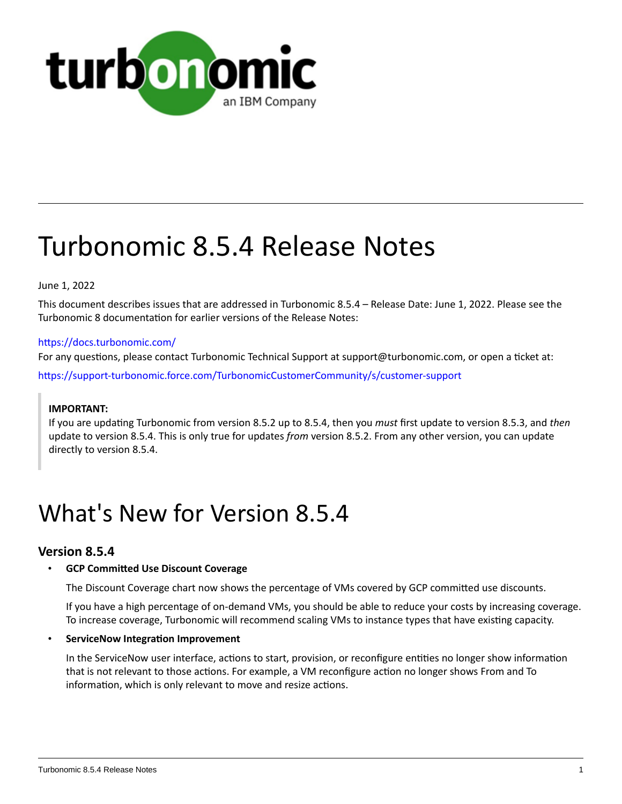

# Turbonomic 8.5.4 Release Notes

# June 1, 2022

This document describes issues that are addressed in Turbonomic 8.5.4 – Release Date: June 1, 2022. Please see the Turbonomic 8 documentation for earlier versions of the Release Notes:

# <https://docs.turbonomic.com/>

For any questions, please contact Turbonomic Technical Support at support@turbonomic.com, or open a ticket at:

[https://support-turbonomic.force.com/TurbonomicCustomerCommunity/s/customer-support](https://greencircle.vmturbo.com/support)

# **IMPORTANT:**

If you are updating Turbonomic from version 8.5.2 up to 8.5.4, then you *must* first update to version 8.5.3, and *then*  update to version 8.5.4. This is only true for updates *from* version 8.5.2. From any other version, you can update directly to version 8.5.4.

# What's New for Version 8.5.4

# **Version 8.5.4**

# • **GCP Committed Use Discount Coverage**

The Discount Coverage chart now shows the percentage of VMs covered by GCP committed use discounts.

If you have a high percentage of on-demand VMs, you should be able to reduce your costs by increasing coverage. To increase coverage, Turbonomic will recommend scaling VMs to instance types that have existing capacity.

### • **ServiceNow Integration Improvement**

In the ServiceNow user interface, actions to start, provision, or reconfigure entities no longer show information that is not relevant to those actions. For example, a VM reconfigure action no longer shows From and To information, which is only relevant to move and resize actions.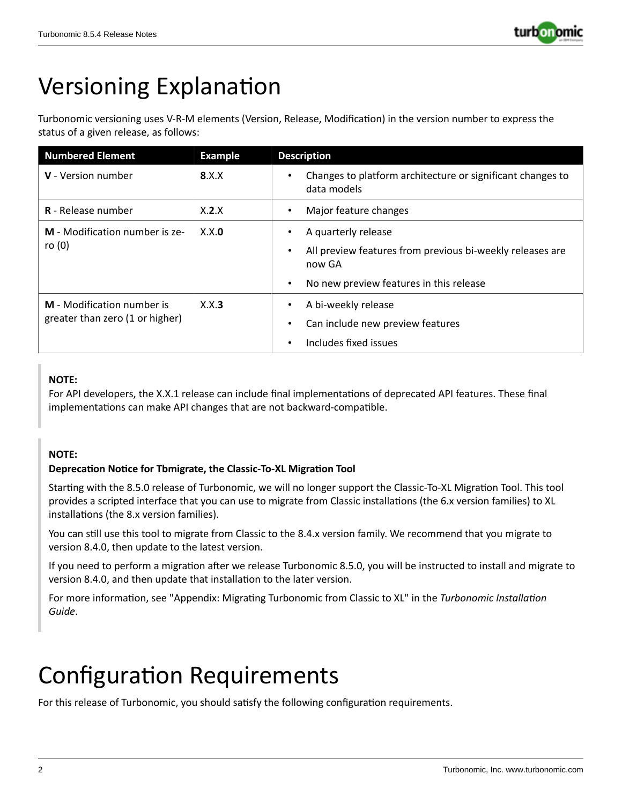

# Versioning Explanation

Turbonomic versioning uses V-R-M elements (Version, Release, Modification) in the version number to express the status of a given release, as follows:

| <b>Numbered Element</b>                                       | <b>Example</b> | <b>Description</b>                                                                                                                                                           |
|---------------------------------------------------------------|----------------|------------------------------------------------------------------------------------------------------------------------------------------------------------------------------|
| V - Version number                                            | 8.X.X          | Changes to platform architecture or significant changes to<br>$\bullet$<br>data models                                                                                       |
| <b>R</b> - Release number                                     | X.2.X          | Major feature changes<br>$\bullet$                                                                                                                                           |
| M - Modification number is ze-<br>ro $(0)$                    | X.X.0          | A quarterly release<br>$\bullet$<br>All preview features from previous bi-weekly releases are<br>$\bullet$<br>now GA<br>No new preview features in this release<br>$\bullet$ |
| M - Modification number is<br>greater than zero (1 or higher) | X.X.3          | A bi-weekly release<br>$\bullet$<br>Can include new preview features<br>٠<br>Includes fixed issues<br>$\bullet$                                                              |

# **NOTE:**

For API developers, the X.X.1 release can include final implementations of deprecated API features. These final implementations can make API changes that are not backward-compatible.

# **NOTE:**

# **Deprecation Notice for Tbmigrate, the Classic-To-XL Migration Tool**

Starting with the 8.5.0 release of Turbonomic, we will no longer support the Classic-To-XL Migration Tool. This tool provides a scripted interface that you can use to migrate from Classic installations (the 6.x version families) to XL installations (the 8.x version families).

You can still use this tool to migrate from Classic to the 8.4.x version family. We recommend that you migrate to version 8.4.0, then update to the latest version.

If you need to perform a migration after we release Turbonomic 8.5.0, you will be instructed to install and migrate to version 8.4.0, and then update that installation to the later version.

For more information, see "Appendix: Migrating Turbonomic from Classic to XL" in the *Turbonomic Installation Guide*.

# Configuration Requirements

For this release of Turbonomic, you should satisfy the following configuration requirements.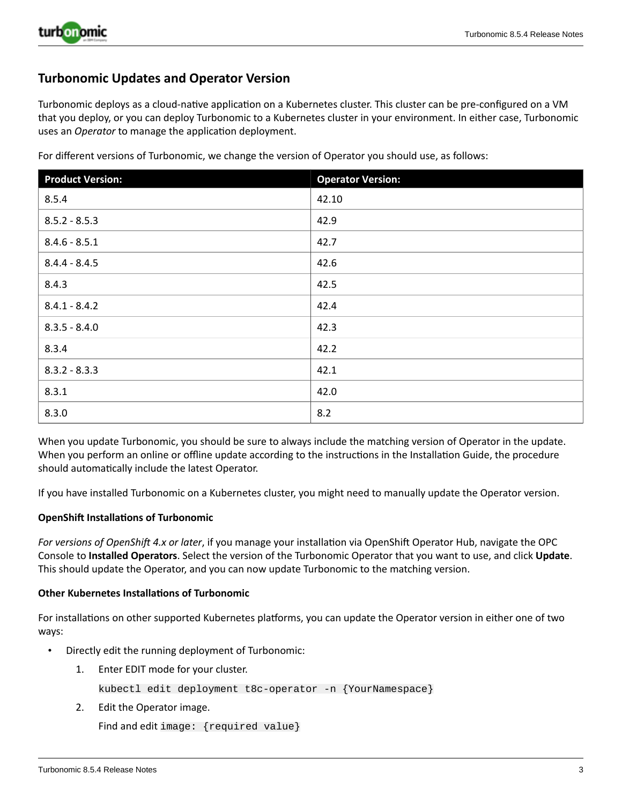

# **Turbonomic Updates and Operator Version**

Turbonomic deploys as a cloud-native application on a Kubernetes cluster. This cluster can be pre-configured on a VM that you deploy, or you can deploy Turbonomic to a Kubernetes cluster in your environment. In either case, Turbonomic uses an *Operator* to manage the application deployment.

For different versions of Turbonomic, we change the version of Operator you should use, as follows:

| <b>Product Version:</b> | <b>Operator Version:</b> |
|-------------------------|--------------------------|
| 8.5.4                   | 42.10                    |
| $8.5.2 - 8.5.3$         | 42.9                     |
| $8.4.6 - 8.5.1$         | 42.7                     |
| $8.4.4 - 8.4.5$         | 42.6                     |
| 8.4.3                   | 42.5                     |
| $8.4.1 - 8.4.2$         | 42.4                     |
| $8.3.5 - 8.4.0$         | 42.3                     |
| 8.3.4                   | 42.2                     |
| $8.3.2 - 8.3.3$         | 42.1                     |
| 8.3.1                   | 42.0                     |
| 8.3.0                   | 8.2                      |

When you update Turbonomic, you should be sure to always include the matching version of Operator in the update. When you perform an online or offline update according to the instructions in the Installation Guide, the procedure should automatically include the latest Operator.

If you have installed Turbonomic on a Kubernetes cluster, you might need to manually update the Operator version.

### **OpenShift Installations of Turbonomic**

*For versions of OpenShift 4.x or later*, if you manage your installation via OpenShift Operator Hub, navigate the OPC Console to **Installed Operators**. Select the version of the Turbonomic Operator that you want to use, and click **Update**. This should update the Operator, and you can now update Turbonomic to the matching version.

### **Other Kubernetes Installations of Turbonomic**

For installations on other supported Kubernetes platforms, you can update the Operator version in either one of two ways:

- Directly edit the running deployment of Turbonomic:
	- 1. Enter EDIT mode for your cluster.

kubectl edit deployment t8c-operator -n {YourNamespace}

2. Edit the Operator image.

Find and edit image: {required value}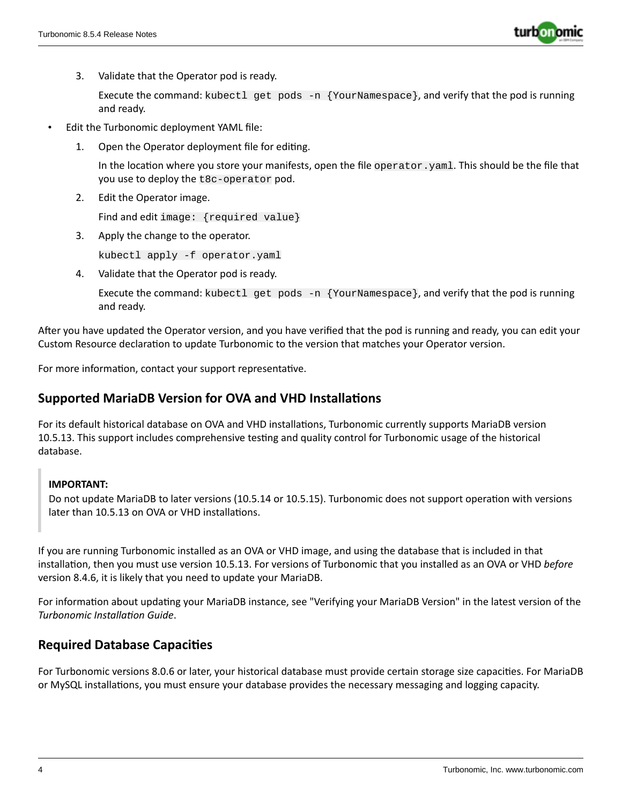

3. Validate that the Operator pod is ready.

Execute the command: kubectl get pods -n {YourNamespace}, and verify that the pod is running and ready.

- Edit the Turbonomic deployment YAML file:
	- 1. Open the Operator deployment file for editing.

In the location where you store your manifests, open the file operator.yaml. This should be the file that you use to deploy the t8c-operator pod.

2. Edit the Operator image.

Find and edit image: {required value}

3. Apply the change to the operator.

kubectl apply -f operator.yaml

4. Validate that the Operator pod is ready.

Execute the command: kubectl get pods  $-n$  {YourNamespace}, and verify that the pod is running and ready.

After you have updated the Operator version, and you have verified that the pod is running and ready, you can edit your Custom Resource declaration to update Turbonomic to the version that matches your Operator version.

For more information, contact your support representative.

# **Supported MariaDB Version for OVA and VHD Installations**

For its default historical database on OVA and VHD installations, Turbonomic currently supports MariaDB version 10.5.13. This support includes comprehensive testing and quality control for Turbonomic usage of the historical database.

# **IMPORTANT:**

Do not update MariaDB to later versions (10.5.14 or 10.5.15). Turbonomic does not support operation with versions later than 10.5.13 on OVA or VHD installations.

If you are running Turbonomic installed as an OVA or VHD image, and using the database that is included in that installation, then you must use version 10.5.13. For versions of Turbonomic that you installed as an OVA or VHD *before* version 8.4.6, it is likely that you need to update your MariaDB.

For information about updating your MariaDB instance, see "Verifying your MariaDB Version" in the latest version of the *Turbonomic Installation Guide*.

# **Required Database Capacities**

For Turbonomic versions 8.0.6 or later, your historical database must provide certain storage size capacities. For MariaDB or MySQL installations, you must ensure your database provides the necessary messaging and logging capacity.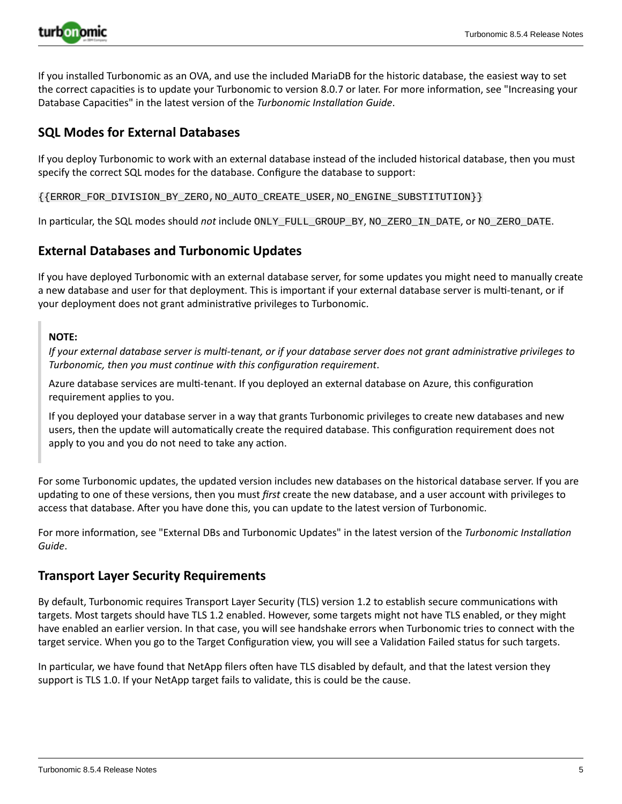

If you installed Turbonomic as an OVA, and use the included MariaDB for the historic database, the easiest way to set the correct capacities is to update your Turbonomic to version 8.0.7 or later. For more information, see "Increasing your Database Capacities" in the latest version of the *Turbonomic Installation Guide*.

# **SQL Modes for External Databases**

If you deploy Turbonomic to work with an external database instead of the included historical database, then you must specify the correct SQL modes for the database. Configure the database to support:

{{ERROR\_FOR\_DIVISION\_BY\_ZERO,NO\_AUTO\_CREATE\_USER,NO\_ENGINE\_SUBSTITUTION}}

In particular, the SQL modes should *not* include ONLY\_FULL\_GROUP\_BY, NO\_ZERO\_IN\_DATE, or NO\_ZERO\_DATE.

# **External Databases and Turbonomic Updates**

If you have deployed Turbonomic with an external database server, for some updates you might need to manually create a new database and user for that deployment. This is important if your external database server is multi-tenant, or if your deployment does not grant administrative privileges to Turbonomic.

# **NOTE:**

If your external database server is multi-tenant, or if your database server does not grant administrative privileges to *Turbonomic, then you must continue with this configuration requirement*.

Azure database services are multi-tenant. If you deployed an external database on Azure, this configuration requirement applies to you.

If you deployed your database server in a way that grants Turbonomic privileges to create new databases and new users, then the update will automatically create the required database. This configuration requirement does not apply to you and you do not need to take any action.

For some Turbonomic updates, the updated version includes new databases on the historical database server. If you are updating to one of these versions, then you must *first* create the new database, and a user account with privileges to access that database. After you have done this, you can update to the latest version of Turbonomic.

For more information, see "External DBs and Turbonomic Updates" in the latest version of the *Turbonomic Installation Guide*.

# **Transport Layer Security Requirements**

By default, Turbonomic requires Transport Layer Security (TLS) version 1.2 to establish secure communications with targets. Most targets should have TLS 1.2 enabled. However, some targets might not have TLS enabled, or they might have enabled an earlier version. In that case, you will see handshake errors when Turbonomic tries to connect with the target service. When you go to the Target Configuration view, you will see a Validation Failed status for such targets.

In particular, we have found that NetApp filers often have TLS disabled by default, and that the latest version they support is TLS 1.0. If your NetApp target fails to validate, this is could be the cause.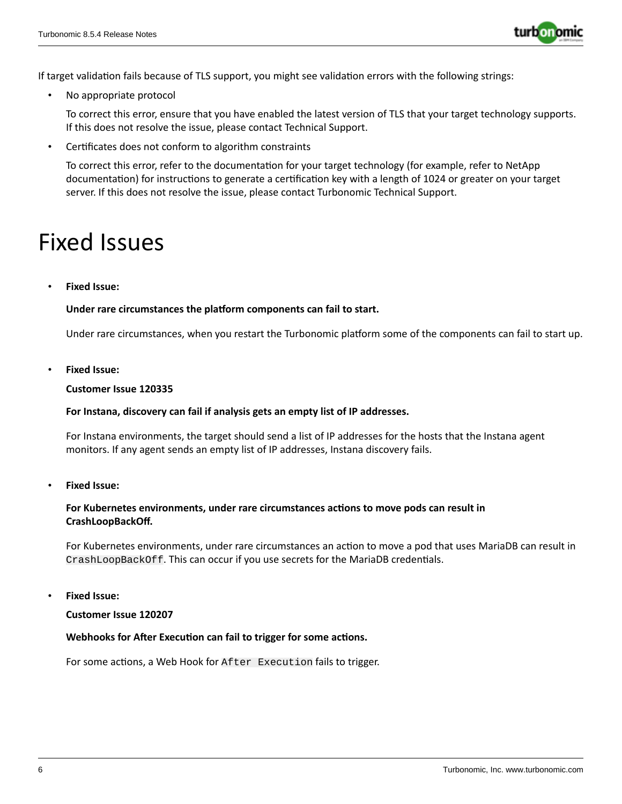

If target validation fails because of TLS support, you might see validation errors with the following strings:

No appropriate protocol

To correct this error, ensure that you have enabled the latest version of TLS that your target technology supports. If this does not resolve the issue, please contact Technical Support.

• Certificates does not conform to algorithm constraints

To correct this error, refer to the documentation for your target technology (for example, refer to NetApp documentation) for instructions to generate a certification key with a length of 1024 or greater on your target server. If this does not resolve the issue, please contact Turbonomic Technical Support.

# Fixed Issues

• **Fixed Issue:**

# **Under rare circumstances the platform components can fail to start.**

Under rare circumstances, when you restart the Turbonomic platform some of the components can fail to start up.

• **Fixed Issue:**

### **Customer Issue 120335**

### **For Instana, discovery can fail if analysis gets an empty list of IP addresses.**

For Instana environments, the target should send a list of IP addresses for the hosts that the Instana agent monitors. If any agent sends an empty list of IP addresses, Instana discovery fails.

• **Fixed Issue:**

# **For Kubernetes environments, under rare circumstances actions to move pods can result in CrashLoopBackOff.**

For Kubernetes environments, under rare circumstances an action to move a pod that uses MariaDB can result in CrashLoopBackOff. This can occur if you use secrets for the MariaDB credentials.

• **Fixed Issue:**

**Customer Issue 120207**

### **Webhooks for After Execution can fail to trigger for some actions.**

For some actions, a Web Hook for After Execution fails to trigger.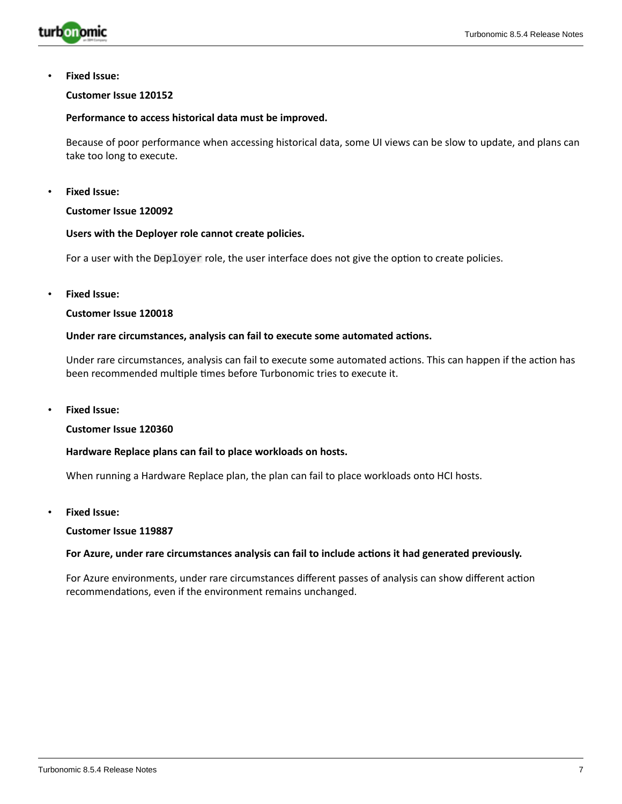

• **Fixed Issue:**

#### **Customer Issue 120152**

#### **Performance to access historical data must be improved.**

Because of poor performance when accessing historical data, some UI views can be slow to update, and plans can take too long to execute.

• **Fixed Issue:**

#### **Customer Issue 120092**

### **Users with the Deployer role cannot create policies.**

For a user with the Deployer role, the user interface does not give the option to create policies.

• **Fixed Issue:**

#### **Customer Issue 120018**

#### **Under rare circumstances, analysis can fail to execute some automated actions.**

Under rare circumstances, analysis can fail to execute some automated actions. This can happen if the action has been recommended multiple times before Turbonomic tries to execute it.

• **Fixed Issue:**

#### **Customer Issue 120360**

# **Hardware Replace plans can fail to place workloads on hosts.**

When running a Hardware Replace plan, the plan can fail to place workloads onto HCI hosts.

• **Fixed Issue:**

#### **Customer Issue 119887**

#### **For Azure, under rare circumstances analysis can fail to include actions it had generated previously.**

For Azure environments, under rare circumstances different passes of analysis can show different action recommendations, even if the environment remains unchanged.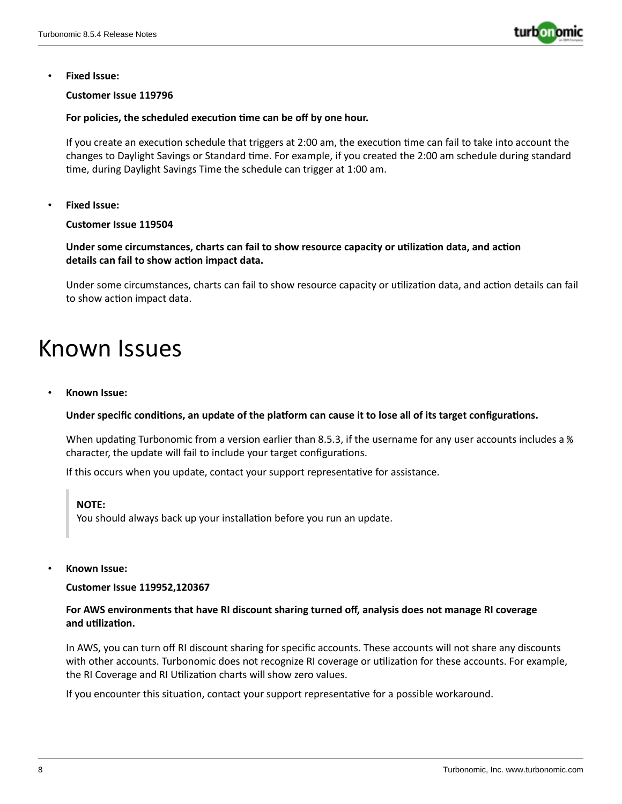

• **Fixed Issue:**

# **Customer Issue 119796**

# **For policies, the scheduled execution time can be off by one hour.**

If you create an execution schedule that triggers at 2:00 am, the execution time can fail to take into account the changes to Daylight Savings or Standard time. For example, if you created the 2:00 am schedule during standard time, during Daylight Savings Time the schedule can trigger at 1:00 am.

• **Fixed Issue:**

# **Customer Issue 119504**

**Under some circumstances, charts can fail to show resource capacity or utilization data, and action details can fail to show action impact data.**

Under some circumstances, charts can fail to show resource capacity or utilization data, and action details can fail to show action impact data.

# Known Issues

• **Known Issue:**

### Under specific conditions, an update of the platform can cause it to lose all of its target configurations.

When updating Turbonomic from a version earlier than 8.5.3, if the username for any user accounts includes a % character, the update will fail to include your target configurations.

If this occurs when you update, contact your support representative for assistance.

### **NOTE:**

You should always back up your installation before you run an update.

### • **Known Issue:**

**Customer Issue 119952,120367**

# **For AWS environments that have RI discount sharing turned off, analysis does not manage RI coverage and utilization.**

In AWS, you can turn off RI discount sharing for specific accounts. These accounts will not share any discounts with other accounts. Turbonomic does not recognize RI coverage or utilization for these accounts. For example, the RI Coverage and RI Utilization charts will show zero values.

If you encounter this situation, contact your support representative for a possible workaround.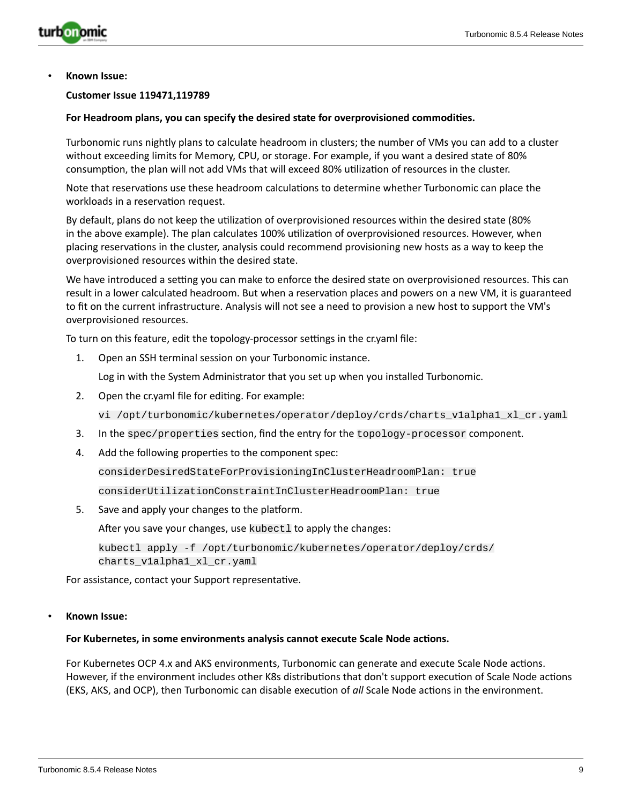

#### **Customer Issue 119471,119789**

#### **For Headroom plans, you can specify the desired state for overprovisioned commodities.**

Turbonomic runs nightly plans to calculate headroom in clusters; the number of VMs you can add to a cluster without exceeding limits for Memory, CPU, or storage. For example, if you want a desired state of 80% consumption, the plan will not add VMs that will exceed 80% utilization of resources in the cluster.

Note that reservations use these headroom calculations to determine whether Turbonomic can place the workloads in a reservation request.

By default, plans do not keep the utilization of overprovisioned resources within the desired state (80% in the above example). The plan calculates 100% utilization of overprovisioned resources. However, when placing reservations in the cluster, analysis could recommend provisioning new hosts as a way to keep the overprovisioned resources within the desired state.

We have introduced a setting you can make to enforce the desired state on overprovisioned resources. This can result in a lower calculated headroom. But when a reservation places and powers on a new VM, it is guaranteed to fit on the current infrastructure. Analysis will not see a need to provision a new host to support the VM's overprovisioned resources.

To turn on this feature, edit the topology-processor settings in the cr.yaml file:

1. Open an SSH terminal session on your Turbonomic instance.

Log in with the System Administrator that you set up when you installed Turbonomic.

2. Open the cr.yaml file for editing. For example:

vi /opt/turbonomic/kubernetes/operator/deploy/crds/charts\_v1alpha1\_xl\_cr.yaml

- 3. In the spec/properties section, find the entry for the topology-processor component.
- 4. Add the following properties to the component spec:

considerDesiredStateForProvisioningInClusterHeadroomPlan: true

considerUtilizationConstraintInClusterHeadroomPlan: true

5. Save and apply your changes to the platform.

After you save your changes, use kubectl to apply the changes:

kubectl apply -f /opt/turbonomic/kubernetes/operator/deploy/crds/ charts\_v1alpha1\_xl\_cr.yaml

For assistance, contact your Support representative.

#### • **Known Issue:**

#### **For Kubernetes, in some environments analysis cannot execute Scale Node actions.**

For Kubernetes OCP 4.x and AKS environments, Turbonomic can generate and execute Scale Node actions. However, if the environment includes other K8s distributions that don't support execution of Scale Node actions (EKS, AKS, and OCP), then Turbonomic can disable execution of *all* Scale Node actions in the environment.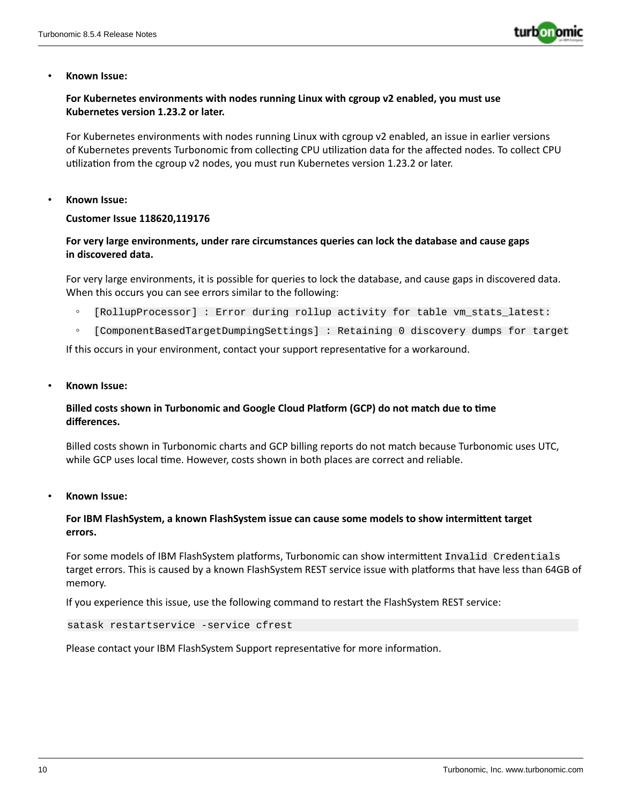

# **For Kubernetes environments with nodes running Linux with cgroup v2 enabled, you must use Kubernetes version 1.23.2 or later.**

For Kubernetes environments with nodes running Linux with cgroup v2 enabled, an issue in earlier versions of Kubernetes prevents Turbonomic from collecting CPU utilization data for the affected nodes. To collect CPU utilization from the cgroup v2 nodes, you must run Kubernetes version 1.23.2 or later.

#### • **Known Issue:**

### **Customer Issue 118620,119176**

# **For very large environments, under rare circumstances queries can lock the database and cause gaps in discovered data.**

For very large environments, it is possible for queries to lock the database, and cause gaps in discovered data. When this occurs you can see errors similar to the following:

- [RollupProcessor] : Error during rollup activity for table vm\_stats\_latest:
- [ComponentBasedTargetDumpingSettings] : Retaining 0 discovery dumps for target

If this occurs in your environment, contact your support representative for a workaround.

• **Known Issue:**

# **Billed costs shown in Turbonomic and Google Cloud Platform (GCP) do not match due to time differences.**

Billed costs shown in Turbonomic charts and GCP billing reports do not match because Turbonomic uses UTC, while GCP uses local time. However, costs shown in both places are correct and reliable.

• **Known Issue:**

# **For IBM FlashSystem, a known FlashSystem issue can cause some models to show intermittent target errors.**

For some models of IBM FlashSystem platforms, Turbonomic can show intermittent Invalid Credentials target errors. This is caused by a known FlashSystem REST service issue with platforms that have less than 64GB of memory.

If you experience this issue, use the following command to restart the FlashSystem REST service:

```
satask restartservice -service cfrest
```
Please contact your IBM FlashSystem Support representative for more information.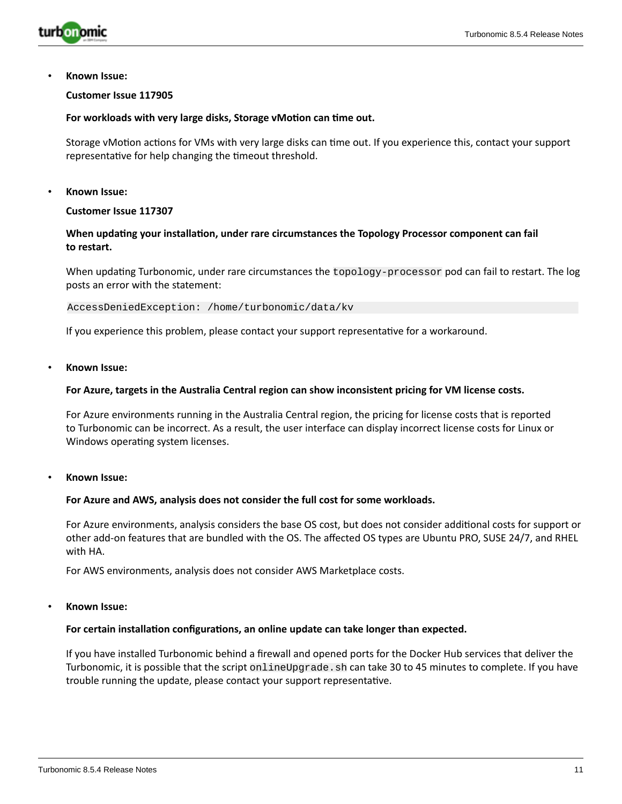

### **Customer Issue 117905**

#### **For workloads with very large disks, Storage vMotion can time out.**

Storage vMotion actions for VMs with very large disks can time out. If you experience this, contact your support representative for help changing the timeout threshold.

• **Known Issue:**

### **Customer Issue 117307**

# **When updating your installation, under rare circumstances the Topology Processor component can fail to restart.**

When updating Turbonomic, under rare circumstances the topology-processor pod can fail to restart. The log posts an error with the statement:

AccessDeniedException: /home/turbonomic/data/kv

If you experience this problem, please contact your support representative for a workaround.

• **Known Issue:**

#### **For Azure, targets in the Australia Central region can show inconsistent pricing for VM license costs.**

For Azure environments running in the Australia Central region, the pricing for license costs that is reported to Turbonomic can be incorrect. As a result, the user interface can display incorrect license costs for Linux or Windows operating system licenses.

• **Known Issue:**

### **For Azure and AWS, analysis does not consider the full cost for some workloads.**

For Azure environments, analysis considers the base OS cost, but does not consider additional costs for support or other add-on features that are bundled with the OS. The affected OS types are Ubuntu PRO, SUSE 24/7, and RHEL with HA.

For AWS environments, analysis does not consider AWS Marketplace costs.

#### • **Known Issue:**

### **For certain installation configurations, an online update can take longer than expected.**

If you have installed Turbonomic behind a firewall and opened ports for the Docker Hub services that deliver the Turbonomic, it is possible that the script onlineUpgrade. sh can take 30 to 45 minutes to complete. If you have trouble running the update, please contact your support representative.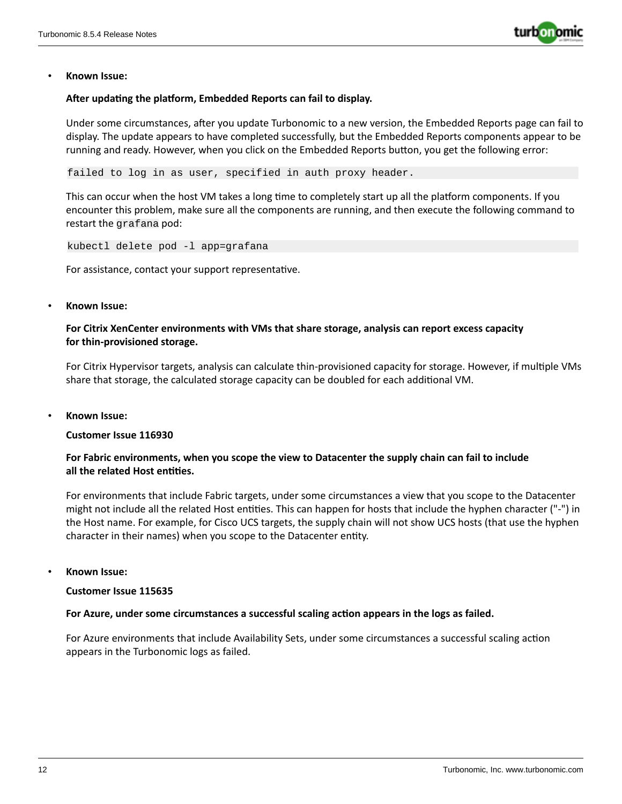

### **After updating the platform, Embedded Reports can fail to display.**

Under some circumstances, after you update Turbonomic to a new version, the Embedded Reports page can fail to display. The update appears to have completed successfully, but the Embedded Reports components appear to be running and ready. However, when you click on the Embedded Reports button, you get the following error:

failed to log in as user, specified in auth proxy header.

This can occur when the host VM takes a long time to completely start up all the platform components. If you encounter this problem, make sure all the components are running, and then execute the following command to restart the grafana pod:

kubectl delete pod -l app=grafana

For assistance, contact your support representative.

### • **Known Issue:**

# **For Citrix XenCenter environments with VMs that share storage, analysis can report excess capacity for thin-provisioned storage.**

For Citrix Hypervisor targets, analysis can calculate thin-provisioned capacity for storage. However, if multiple VMs share that storage, the calculated storage capacity can be doubled for each additional VM.

• **Known Issue:**

### **Customer Issue 116930**

# **For Fabric environments, when you scope the view to Datacenter the supply chain can fail to include all the related Host entities.**

For environments that include Fabric targets, under some circumstances a view that you scope to the Datacenter might not include all the related Host entities. This can happen for hosts that include the hyphen character ("-") in the Host name. For example, for Cisco UCS targets, the supply chain will not show UCS hosts (that use the hyphen character in their names) when you scope to the Datacenter entity.

• **Known Issue:**

#### **Customer Issue 115635**

### **For Azure, under some circumstances a successful scaling action appears in the logs as failed.**

For Azure environments that include Availability Sets, under some circumstances a successful scaling action appears in the Turbonomic logs as failed.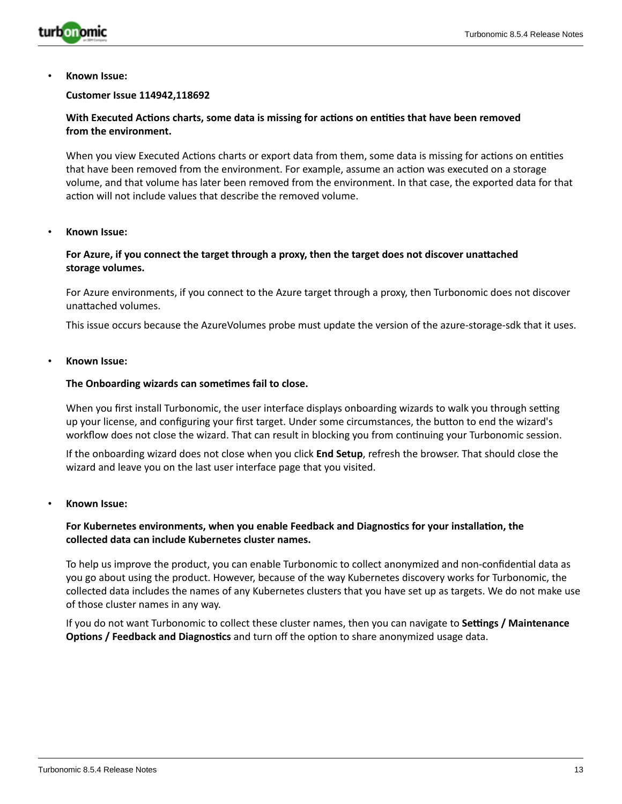

#### **Customer Issue 114942,118692**

# **With Executed Actions charts, some data is missing for actions on entities that have been removed from the environment.**

When you view Executed Actions charts or export data from them, some data is missing for actions on entities that have been removed from the environment. For example, assume an action was executed on a storage volume, and that volume has later been removed from the environment. In that case, the exported data for that action will not include values that describe the removed volume.

#### • **Known Issue:**

### **For Azure, if you connect the target through a proxy, then the target does not discover unattached storage volumes.**

For Azure environments, if you connect to the Azure target through a proxy, then Turbonomic does not discover unattached volumes.

This issue occurs because the AzureVolumes probe must update the version of the azure-storage-sdk that it uses.

#### • **Known Issue:**

#### **The Onboarding wizards can sometimes fail to close.**

When you first install Turbonomic, the user interface displays onboarding wizards to walk you through setting up your license, and configuring your first target. Under some circumstances, the button to end the wizard's workflow does not close the wizard. That can result in blocking you from continuing your Turbonomic session.

If the onboarding wizard does not close when you click **End Setup**, refresh the browser. That should close the wizard and leave you on the last user interface page that you visited.

#### • **Known Issue:**

### **For Kubernetes environments, when you enable Feedback and Diagnostics for your installation, the collected data can include Kubernetes cluster names.**

To help us improve the product, you can enable Turbonomic to collect anonymized and non-confidential data as you go about using the product. However, because of the way Kubernetes discovery works for Turbonomic, the collected data includes the names of any Kubernetes clusters that you have set up as targets. We do not make use of those cluster names in any way.

If you do not want Turbonomic to collect these cluster names, then you can navigate to **Settings / Maintenance Options / Feedback and Diagnostics** and turn off the option to share anonymized usage data.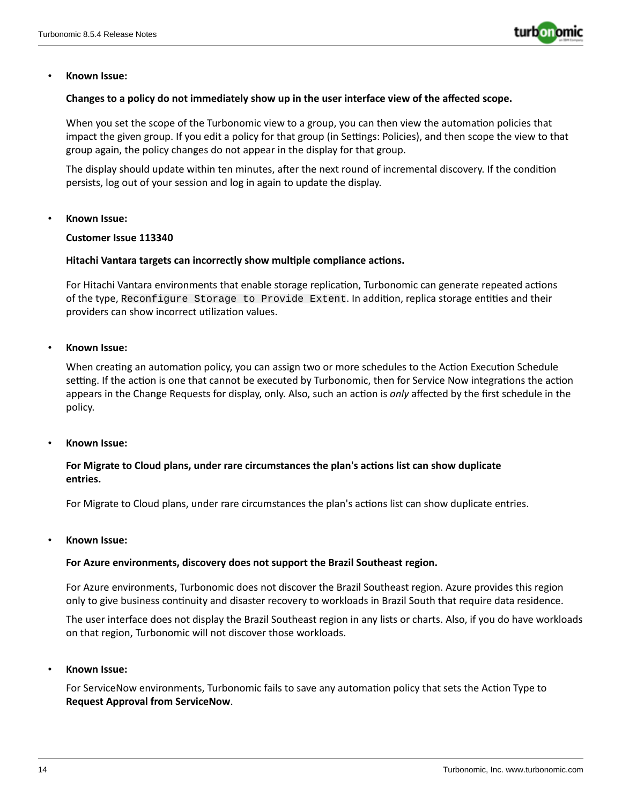

#### **Changes to a policy do not immediately show up in the user interface view of the affected scope.**

When you set the scope of the Turbonomic view to a group, you can then view the automation policies that impact the given group. If you edit a policy for that group (in Settings: Policies), and then scope the view to that group again, the policy changes do not appear in the display for that group.

The display should update within ten minutes, after the next round of incremental discovery. If the condition persists, log out of your session and log in again to update the display.

#### • **Known Issue:**

#### **Customer Issue 113340**

#### **Hitachi Vantara targets can incorrectly show multiple compliance actions.**

For Hitachi Vantara environments that enable storage replication, Turbonomic can generate repeated actions of the type, Reconfigure Storage to Provide Extent. In addition, replica storage entities and their providers can show incorrect utilization values.

#### • **Known Issue:**

When creating an automation policy, you can assign two or more schedules to the Action Execution Schedule setting. If the action is one that cannot be executed by Turbonomic, then for Service Now integrations the action appears in the Change Requests for display, only. Also, such an action is *only* affected by the first schedule in the policy.

### • **Known Issue:**

# **For Migrate to Cloud plans, under rare circumstances the plan's actions list can show duplicate entries.**

For Migrate to Cloud plans, under rare circumstances the plan's actions list can show duplicate entries.

#### • **Known Issue:**

#### **For Azure environments, discovery does not support the Brazil Southeast region.**

For Azure environments, Turbonomic does not discover the Brazil Southeast region. Azure provides this region only to give business continuity and disaster recovery to workloads in Brazil South that require data residence.

The user interface does not display the Brazil Southeast region in any lists or charts. Also, if you do have workloads on that region, Turbonomic will not discover those workloads.

• **Known Issue:**

For ServiceNow environments, Turbonomic fails to save any automation policy that sets the Action Type to **Request Approval from ServiceNow**.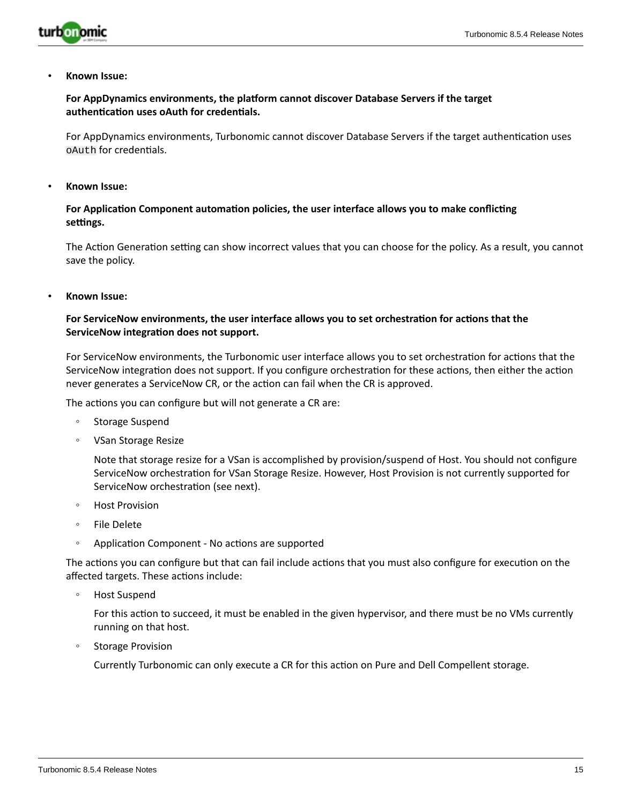

# **For AppDynamics environments, the platform cannot discover Database Servers if the target authentication uses oAuth for credentials.**

For AppDynamics environments, Turbonomic cannot discover Database Servers if the target authentication uses oAuth for credentials.

• **Known Issue:**

# **For Application Component automation policies, the user interface allows you to make conflicting settings.**

The Action Generation setting can show incorrect values that you can choose for the policy. As a result, you cannot save the policy.

• **Known Issue:**

# **For ServiceNow environments, the user interface allows you to set orchestration for actions that the ServiceNow integration does not support.**

For ServiceNow environments, the Turbonomic user interface allows you to set orchestration for actions that the ServiceNow integration does not support. If you configure orchestration for these actions, then either the action never generates a ServiceNow CR, or the action can fail when the CR is approved.

The actions you can configure but will not generate a CR are:

- Storage Suspend
- VSan Storage Resize

Note that storage resize for a VSan is accomplished by provision/suspend of Host. You should not configure ServiceNow orchestration for VSan Storage Resize. However, Host Provision is not currently supported for ServiceNow orchestration (see next).

- Host Provision
- File Delete
- Application Component No actions are supported

The actions you can configure but that can fail include actions that you must also configure for execution on the affected targets. These actions include:

◦ Host Suspend

For this action to succeed, it must be enabled in the given hypervisor, and there must be no VMs currently running on that host.

◦ Storage Provision

Currently Turbonomic can only execute a CR for this action on Pure and Dell Compellent storage.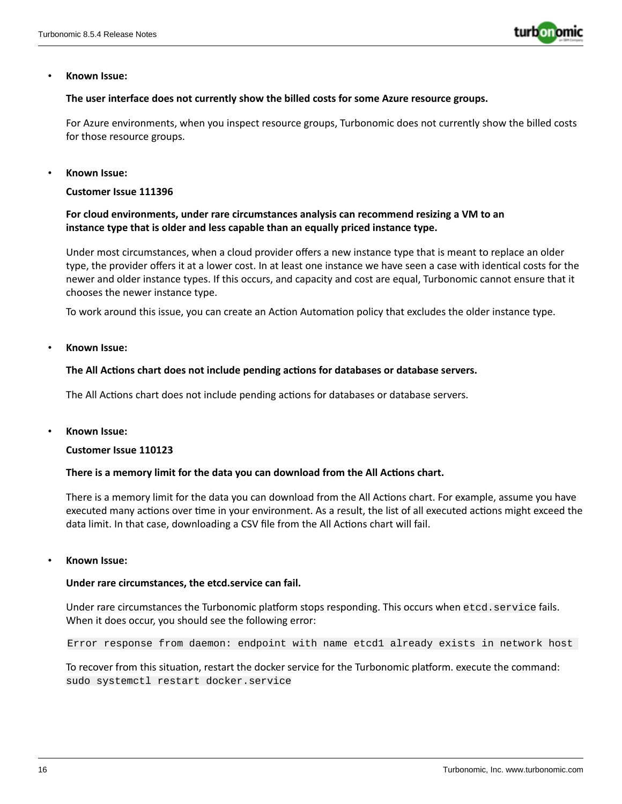

### **The user interface does not currently show the billed costs for some Azure resource groups.**

For Azure environments, when you inspect resource groups, Turbonomic does not currently show the billed costs for those resource groups.

#### • **Known Issue:**

**Customer Issue 111396**

# **For cloud environments, under rare circumstances analysis can recommend resizing a VM to an instance type that is older and less capable than an equally priced instance type.**

Under most circumstances, when a cloud provider offers a new instance type that is meant to replace an older type, the provider offers it at a lower cost. In at least one instance we have seen a case with identical costs for the newer and older instance types. If this occurs, and capacity and cost are equal, Turbonomic cannot ensure that it chooses the newer instance type.

To work around this issue, you can create an Action Automation policy that excludes the older instance type.

• **Known Issue:**

#### **The All Actions chart does not include pending actions for databases or database servers.**

The All Actions chart does not include pending actions for databases or database servers.

• **Known Issue:**

### **Customer Issue 110123**

### **There is a memory limit for the data you can download from the All Actions chart.**

There is a memory limit for the data you can download from the All Actions chart. For example, assume you have executed many actions over time in your environment. As a result, the list of all executed actions might exceed the data limit. In that case, downloading a CSV file from the All Actions chart will fail.

#### • **Known Issue:**

#### **Under rare circumstances, the etcd.service can fail.**

Under rare circumstances the Turbonomic platform stops responding. This occurs when etcd.service fails. When it does occur, you should see the following error:

Error response from daemon: endpoint with name etcd1 already exists in network host

To recover from this situation, restart the docker service for the Turbonomic platform. execute the command: sudo systemctl restart docker.service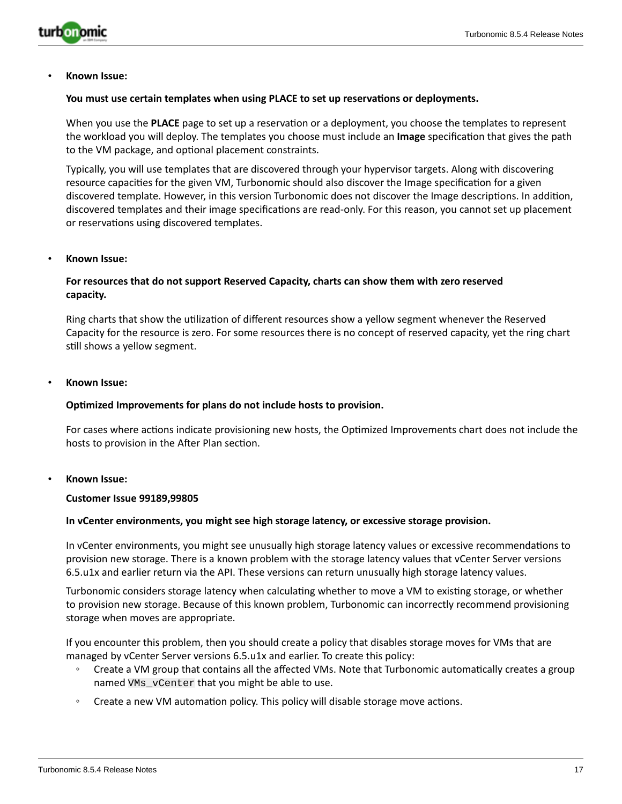

#### **You must use certain templates when using PLACE to set up reservations or deployments.**

When you use the **PLACE** page to set up a reservation or a deployment, you choose the templates to represent the workload you will deploy. The templates you choose must include an **Image** specification that gives the path to the VM package, and optional placement constraints.

Typically, you will use templates that are discovered through your hypervisor targets. Along with discovering resource capacities for the given VM, Turbonomic should also discover the Image specification for a given discovered template. However, in this version Turbonomic does not discover the Image descriptions. In addition, discovered templates and their image specifications are read-only. For this reason, you cannot set up placement or reservations using discovered templates.

#### • **Known Issue:**

# **For resources that do not support Reserved Capacity, charts can show them with zero reserved capacity.**

Ring charts that show the utilization of different resources show a yellow segment whenever the Reserved Capacity for the resource is zero. For some resources there is no concept of reserved capacity, yet the ring chart still shows a yellow segment.

#### • **Known Issue:**

#### **Optimized Improvements for plans do not include hosts to provision.**

For cases where actions indicate provisioning new hosts, the Optimized Improvements chart does not include the hosts to provision in the After Plan section.

#### • **Known Issue:**

#### **Customer Issue 99189,99805**

#### **In vCenter environments, you might see high storage latency, or excessive storage provision.**

In vCenter environments, you might see unusually high storage latency values or excessive recommendations to provision new storage. There is a known problem with the storage latency values that vCenter Server versions 6.5.u1x and earlier return via the API. These versions can return unusually high storage latency values.

Turbonomic considers storage latency when calculating whether to move a VM to existing storage, or whether to provision new storage. Because of this known problem, Turbonomic can incorrectly recommend provisioning storage when moves are appropriate.

If you encounter this problem, then you should create a policy that disables storage moves for VMs that are managed by vCenter Server versions 6.5.u1x and earlier. To create this policy:

- Create a VM group that contains all the affected VMs. Note that Turbonomic automatically creates a group named VMs\_vCenter that you might be able to use.
- Create a new VM automation policy. This policy will disable storage move actions.